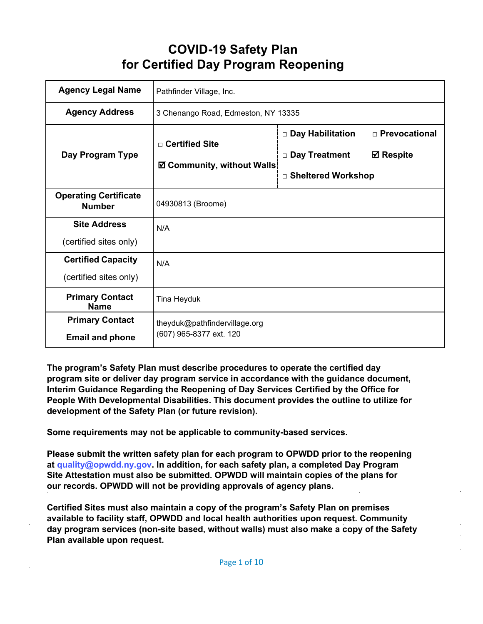# **COVID-19 Safety Plan for Certified Day Program Reopening**

| <b>Agency Legal Name</b>                            | Pathfinder Village, Inc.                                 |                                                                                                           |  |
|-----------------------------------------------------|----------------------------------------------------------|-----------------------------------------------------------------------------------------------------------|--|
| <b>Agency Address</b>                               | 3 Chenango Road, Edmeston, NY 13335                      |                                                                                                           |  |
| Day Program Type                                    | □ Certified Site<br>☑ Community, without Walls           | □ Prevocational<br>$\Box$ Day Habilitation<br>□ Day Treatment<br><b>⊠</b> Respite<br>□ Sheltered Workshop |  |
| <b>Operating Certificate</b><br><b>Number</b>       | 04930813 (Broome)                                        |                                                                                                           |  |
| <b>Site Address</b><br>(certified sites only)       | N/A                                                      |                                                                                                           |  |
| <b>Certified Capacity</b><br>(certified sites only) | N/A                                                      |                                                                                                           |  |
| <b>Primary Contact</b><br><b>Name</b>               | Tina Heyduk                                              |                                                                                                           |  |
| <b>Primary Contact</b><br><b>Email and phone</b>    | theyduk@pathfindervillage.org<br>(607) 965-8377 ext. 120 |                                                                                                           |  |

**The program's Safety Plan must describe procedures to operate the certified day program site or deliver day program service in accordance with the guidance document, Interim Guidance Regarding the Reopening of Day Services Certified by the Office for People With Developmental Disabilities. This document provides the outline to utilize for development of the Safety Plan (or future revision).**

**Some requirements may not be applicable to community-based services.**

**Please submit the written safety plan for each program to OPWDD prior to the reopening at [quality@opwdd.ny.gov.](mailto:quality@opwdd.ny.gov) In addition, for each safety plan, a completed Day Program Site Attestation must also be submitted. OPWDD will maintain copies of the plans for our records. OPWDD will not be providing approvals of agency plans.**

**Certified Sites must also maintain a copy of the program's Safety Plan on premises available to facility staff, OPWDD and local health authorities upon request. Community day program services (non-site based, without walls) must also make a copy of the Safety Plan available upon request.**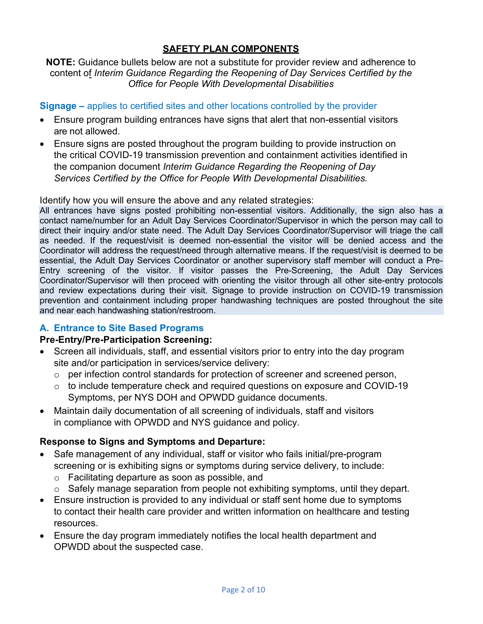# **SAFETY PLAN COMPONENTS**

#### **NOTE:** Guidance bullets below are not a substitute for provider review and adherence to content of *Interim Guidance Regarding the Reopening of Day Services Certified by the Office for People With Developmental Disabilities*

#### **Signage –** applies to certified sites and other locations controlled by the provider

- Ensure program building entrances have signs that alert that non-essential visitors are not allowed.
- Ensure signs are posted throughout the program building to provide instruction on the critical COVID-19 transmission prevention and containment activities identified in the companion document *Interim Guidance Regarding the Reopening of Day Services Certified by the Office for People With Developmental Disabilities.*

Identify how you will ensure the above and any related strategies:

All entrances have signs posted prohibiting non-essential visitors. Additionally, the sign also has a contact name/number for an Adult Day Services Coordinator/Supervisor in which the person may call to direct their inquiry and/or state need. The Adult Day Services Coordinator/Supervisor will triage the call as needed. If the request/visit is deemed non-essential the visitor will be denied access and the Coordinator will address the request/need through alternative means. If the request/visit is deemed to be essential, the Adult Day Services Coordinator or another supervisory staff member will conduct a Pre-Entry screening of the visitor. If visitor passes the Pre-Screening, the Adult Day Services Coordinator/Supervisor will then proceed with orienting the visitor through all other site-entry protocols and review expectations during their visit. Signage to provide instruction on COVID-19 transmission prevention and containment including proper handwashing techniques are posted throughout the site and near each handwashing station/restroom.

# **A. Entrance to Site Based Programs**

#### **Pre-Entry/Pre-Participation Screening:**

- Screen all individuals, staff, and essential visitors prior to entry into the day program site and/or participation in services/service delivery:
	- o per infection control standards for protection of screener and screened person,
	- $\circ$  to include temperature check and required questions on exposure and COVID-19 Symptoms, per NYS DOH and OPWDD guidance documents.
- Maintain daily documentation of all screening of individuals, staff and visitors in compliance with OPWDD and NYS guidance and policy.

# **Response to Signs and Symptoms and Departure:**

- Safe management of any individual, staff or visitor who fails initial/pre-program screening or is exhibiting signs or symptoms during service delivery, to include:
	- o Facilitating departure as soon as possible, and
	- o Safely manage separation from people not exhibiting symptoms, until they depart.
- Ensure instruction is provided to any individual or staff sent home due to symptoms to contact their health care provider and written information on healthcare and testing resources.
- Ensure the day program immediately notifies the local health department and OPWDD about the suspected case.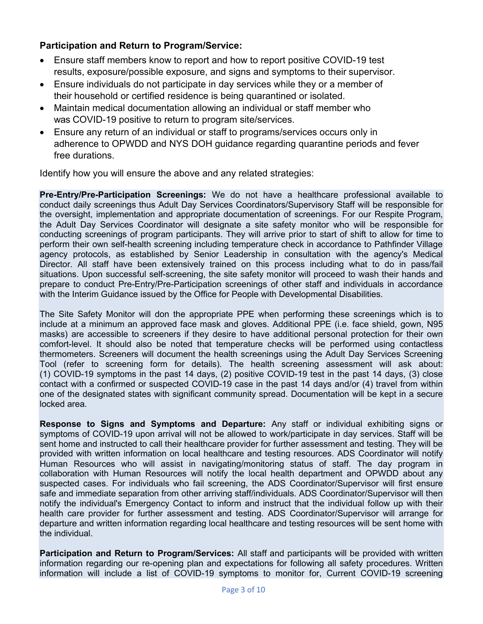### **Participation and Return to Program/Service:**

- Ensure staff members know to report and how to report positive COVID-19 test results, exposure/possible exposure, and signs and symptoms to their supervisor.
- Ensure individuals do not participate in day services while they or a member of their household or certified residence is being quarantined or isolated.
- Maintain medical documentation allowing an individual or staff member who was COVID-19 positive to return to program site/services.
- Ensure any return of an individual or staff to programs/services occurs only in adherence to OPWDD and NYS DOH guidance regarding quarantine periods and fever free durations.

Identify how you will ensure the above and any related strategies:

**Pre-Entry/Pre-Participation Screenings:** We do not have a healthcare professional available to conduct daily screenings thus Adult Day Services Coordinators/Supervisory Staff will be responsible for the oversight, implementation and appropriate documentation of screenings. For our Respite Program, the Adult Day Services Coordinator will designate a site safety monitor who will be responsible for conducting screenings of program participants. They will arrive prior to start of shift to allow for time to perform their own self-health screening including temperature check in accordance to Pathfinder Village agency protocols, as established by Senior Leadership in consultation with the agency's Medical Director. All staff have been extensively trained on this process including what to do in pass/fail situations. Upon successful self-screening, the site safety monitor will proceed to wash their hands and prepare to conduct Pre-Entry/Pre-Participation screenings of other staff and individuals in accordance with the Interim Guidance issued by the Office for People with Developmental Disabilities.

The Site Safety Monitor will don the appropriate PPE when performing these screenings which is to include at a minimum an approved face mask and gloves. Additional PPE (i.e. face shield, gown, N95 masks) are accessible to screeners if they desire to have additional personal protection for their own comfort-level. It should also be noted that temperature checks will be performed using contactless thermometers. Screeners will document the health screenings using the Adult Day Services Screening Tool (refer to screening form for details). The health screening assessment will ask about: (1) COVID-19 symptoms in the past 14 days, (2) positive COVID-19 test in the past 14 days, (3) close contact with a confirmed or suspected COVID-19 case in the past 14 days and/or (4) travel from within one of the designated states with significant community spread. Documentation will be kept in a secure locked area.

**Response to Signs and Symptoms and Departure:** Any staff or individual exhibiting signs or symptoms of COVID-19 upon arrival will not be allowed to work/participate in day services. Staff will be sent home and instructed to call their healthcare provider for further assessment and testing. They will be provided with written information on local healthcare and testing resources. ADS Coordinator will notify Human Resources who will assist in navigating/monitoring status of staff. The day program in collaboration with Human Resources will notify the local health department and OPWDD about any suspected cases. For individuals who fail screening, the ADS Coordinator/Supervisor will first ensure safe and immediate separation from other arriving staff/individuals. ADS Coordinator/Supervisor will then notify the individual's Emergency Contact to inform and instruct that the individual follow up with their health care provider for further assessment and testing. ADS Coordinator/Supervisor will arrange for departure and written information regarding local healthcare and testing resources will be sent home with the individual.

**Participation and Return to Program/Services:** All staff and participants will be provided with written information regarding our re-opening plan and expectations for following all safety procedures. Written information will include a list of COVID-19 symptoms to monitor for, Current COVID-19 screening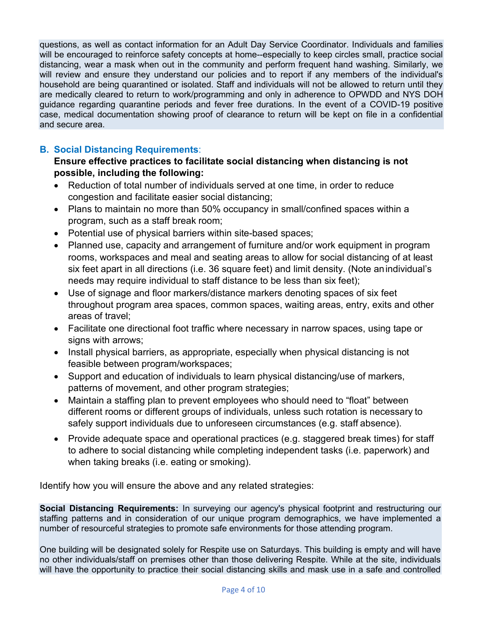questions, as well as contact information for an Adult Day Service Coordinator. Individuals and families will be encouraged to reinforce safety concepts at home--especially to keep circles small, practice social distancing, wear a mask when out in the community and perform frequent hand washing. Similarly, we will review and ensure they understand our policies and to report if any members of the individual's household are being quarantined or isolated. Staff and individuals will not be allowed to return until they are medically cleared to return to work/programming and only in adherence to OPWDD and NYS DOH guidance regarding quarantine periods and fever free durations. In the event of a COVID-19 positive case, medical documentation showing proof of clearance to return will be kept on file in a confidential and secure area.

# **B. Social Distancing Requirements**:

### **Ensure effective practices to facilitate social distancing when distancing is not possible, including the following:**

- Reduction of total number of individuals served at one time, in order to reduce congestion and facilitate easier social distancing;
- Plans to maintain no more than 50% occupancy in small/confined spaces within a program, such as a staff break room;
- Potential use of physical barriers within site-based spaces;
- Planned use, capacity and arrangement of furniture and/or work equipment in program rooms, workspaces and meal and seating areas to allow for social distancing of at least six feet apart in all directions (i.e. 36 square feet) and limit density. (Note anindividual's needs may require individual to staff distance to be less than six feet);
- Use of signage and floor markers/distance markers denoting spaces of six feet throughout program area spaces, common spaces, waiting areas, entry, exits and other areas of travel;
- Facilitate one directional foot traffic where necessary in narrow spaces, using tape or signs with arrows:
- Install physical barriers, as appropriate, especially when physical distancing is not feasible between program/workspaces;
- Support and education of individuals to learn physical distancing/use of markers, patterns of movement, and other program strategies;
- Maintain a staffing plan to prevent employees who should need to "float" between different rooms or different groups of individuals, unless such rotation is necessary to safely support individuals due to unforeseen circumstances (e.g. staff absence).
- Provide adequate space and operational practices (e.g. staggered break times) for staff to adhere to social distancing while completing independent tasks (i.e. paperwork) and when taking breaks (i.e. eating or smoking).

Identify how you will ensure the above and any related strategies:

**Social Distancing Requirements:** In surveying our agency's physical footprint and restructuring our staffing patterns and in consideration of our unique program demographics, we have implemented a number of resourceful strategies to promote safe environments for those attending program.

One building will be designated solely for Respite use on Saturdays. This building is empty and will have no other individuals/staff on premises other than those delivering Respite. While at the site, individuals will have the opportunity to practice their social distancing skills and mask use in a safe and controlled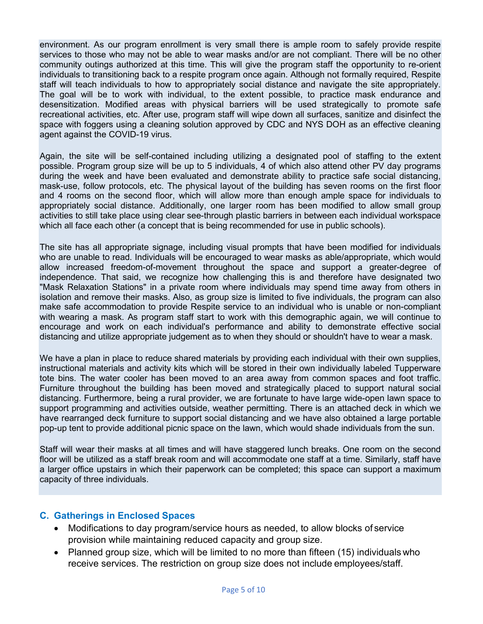environment. As our program enrollment is very small there is ample room to safely provide respite services to those who may not be able to wear masks and/or are not compliant. There will be no other community outings authorized at this time. This will give the program staff the opportunity to re-orient individuals to transitioning back to a respite program once again. Although not formally required, Respite staff will teach individuals to how to appropriately social distance and navigate the site appropriately. The goal will be to work with individual, to the extent possible, to practice mask endurance and desensitization. Modified areas with physical barriers will be used strategically to promote safe recreational activities, etc. After use, program staff will wipe down all surfaces, sanitize and disinfect the space with foggers using a cleaning solution approved by CDC and NYS DOH as an effective cleaning agent against the COVID-19 virus.

Again, the site will be self-contained including utilizing a designated pool of staffing to the extent possible. Program group size will be up to 5 individuals, 4 of which also attend other PV day programs during the week and have been evaluated and demonstrate ability to practice safe social distancing, mask-use, follow protocols, etc. The physical layout of the building has seven rooms on the first floor and 4 rooms on the second floor, which will allow more than enough ample space for individuals to appropriately social distance. Additionally, one larger room has been modified to allow small group activities to still take place using clear see-through plastic barriers in between each individual workspace which all face each other (a concept that is being recommended for use in public schools).

The site has all appropriate signage, including visual prompts that have been modified for individuals who are unable to read. Individuals will be encouraged to wear masks as able/appropriate, which would allow increased freedom-of-movement throughout the space and support a greater-degree of independence. That said, we recognize how challenging this is and therefore have designated two "Mask Relaxation Stations" in a private room where individuals may spend time away from others in isolation and remove their masks. Also, as group size is limited to five individuals, the program can also make safe accommodation to provide Respite service to an individual who is unable or non-compliant with wearing a mask. As program staff start to work with this demographic again, we will continue to encourage and work on each individual's performance and ability to demonstrate effective social distancing and utilize appropriate judgement as to when they should or shouldn't have to wear a mask.

We have a plan in place to reduce shared materials by providing each individual with their own supplies, instructional materials and activity kits which will be stored in their own individually labeled Tupperware tote bins. The water cooler has been moved to an area away from common spaces and foot traffic. Furniture throughout the building has been moved and strategically placed to support natural social distancing. Furthermore, being a rural provider, we are fortunate to have large wide-open lawn space to support programming and activities outside, weather permitting. There is an attached deck in which we have rearranged deck furniture to support social distancing and we have also obtained a large portable pop-up tent to provide additional picnic space on the lawn, which would shade individuals from the sun.

Staff will wear their masks at all times and will have staggered lunch breaks. One room on the second floor will be utilized as a staff break room and will accommodate one staff at a time. Similarly, staff have a larger office upstairs in which their paperwork can be completed; this space can support a maximum capacity of three individuals.

#### **C. Gatherings in Enclosed Spaces**

- Modifications to day program/service hours as needed, to allow blocks of service provision while maintaining reduced capacity and group size.
- Planned group size, which will be limited to no more than fifteen (15) individuals who receive services. The restriction on group size does not include employees/staff.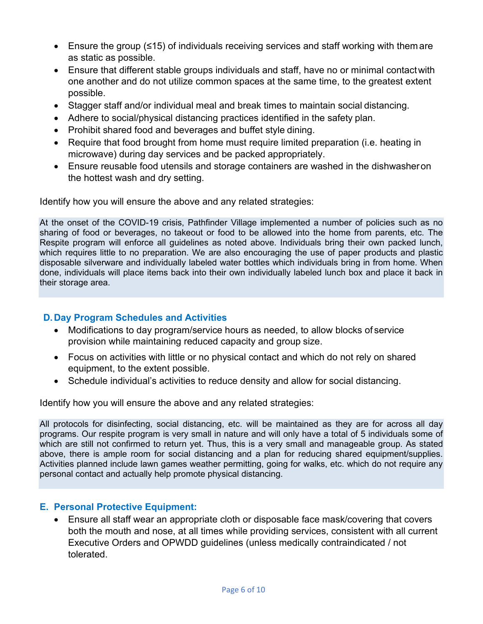- Ensure the group (≤15) of individuals receiving services and staff working with themare as static as possible.
- Ensure that different stable groups individuals and staff, have no or minimal contactwith one another and do not utilize common spaces at the same time, to the greatest extent possible.
- Stagger staff and/or individual meal and break times to maintain social distancing.
- Adhere to social/physical distancing practices identified in the safety plan.
- Prohibit shared food and beverages and buffet style dining.
- Require that food brought from home must require limited preparation (i.e. heating in microwave) during day services and be packed appropriately.
- Ensure reusable food utensils and storage containers are washed in the dishwasheron the hottest wash and dry setting.

Identify how you will ensure the above and any related strategies:

At the onset of the COVID-19 crisis, Pathfinder Village implemented a number of policies such as no sharing of food or beverages, no takeout or food to be allowed into the home from parents, etc. The Respite program will enforce all guidelines as noted above. Individuals bring their own packed lunch, which requires little to no preparation. We are also encouraging the use of paper products and plastic disposable silverware and individually labeled water bottles which individuals bring in from home. When done, individuals will place items back into their own individually labeled lunch box and place it back in their storage area.

# **D.Day Program Schedules and Activities**

- Modifications to day program/service hours as needed, to allow blocks of service provision while maintaining reduced capacity and group size.
- Focus on activities with little or no physical contact and which do not rely on shared equipment, to the extent possible.
- Schedule individual's activities to reduce density and allow for social distancing.

Identify how you will ensure the above and any related strategies:

All protocols for disinfecting, social distancing, etc. will be maintained as they are for across all day programs. Our respite program is very small in nature and will only have a total of 5 individuals some of which are still not confirmed to return yet. Thus, this is a very small and manageable group. As stated above, there is ample room for social distancing and a plan for reducing shared equipment/supplies. Activities planned include lawn games weather permitting, going for walks, etc. which do not require any personal contact and actually help promote physical distancing.

# **E. Personal Protective Equipment:**

• Ensure all staff wear an appropriate cloth or disposable face mask/covering that covers both the mouth and nose, at all times while providing services, consistent with all current Executive Orders and OPWDD guidelines (unless medically contraindicated / not tolerated.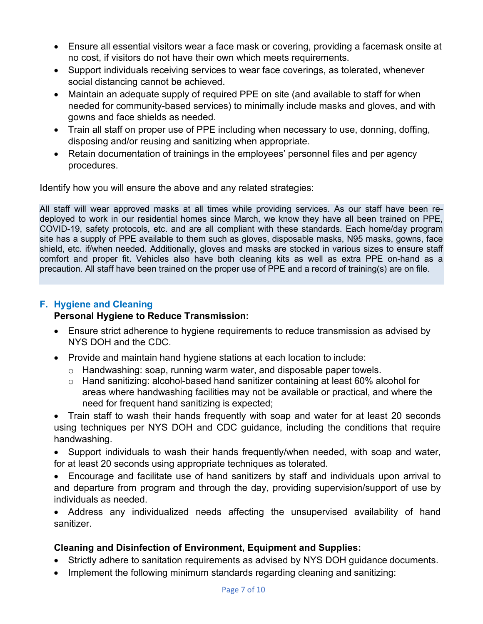- Ensure all essential visitors wear a face mask or covering, providing a facemask onsite at no cost, if visitors do not have their own which meets requirements.
- Support individuals receiving services to wear face coverings, as tolerated, whenever social distancing cannot be achieved.
- Maintain an adequate supply of required PPE on site (and available to staff for when needed for community-based services) to minimally include masks and gloves, and with gowns and face shields as needed.
- Train all staff on proper use of PPE including when necessary to use, donning, doffing, disposing and/or reusing and sanitizing when appropriate.
- Retain documentation of trainings in the employees' personnel files and per agency procedures.

Identify how you will ensure the above and any related strategies:

All staff will wear approved masks at all times while providing services. As our staff have been redeployed to work in our residential homes since March, we know they have all been trained on PPE, COVID-19, safety protocols, etc. and are all compliant with these standards. Each home/day program site has a supply of PPE available to them such as gloves, disposable masks, N95 masks, gowns, face shield, etc. if/when needed. Additionally, gloves and masks are stocked in various sizes to ensure staff comfort and proper fit. Vehicles also have both cleaning kits as well as extra PPE on-hand as a precaution. All staff have been trained on the proper use of PPE and a record of training(s) are on file.

# **F. Hygiene and Cleaning**

# **Personal Hygiene to Reduce Transmission:**

- Ensure strict adherence to hygiene requirements to reduce transmission as advised by NYS DOH and the CDC.
- Provide and maintain hand hygiene stations at each location to include:
	- o Handwashing: soap, running warm water, and disposable paper towels.
	- o Hand sanitizing: alcohol-based hand sanitizer containing at least 60% alcohol for areas where handwashing facilities may not be available or practical, and where the need for frequent hand sanitizing is expected;

• Train staff to wash their hands frequently with soap and water for at least 20 seconds using techniques per NYS DOH and CDC guidance, including the conditions that require handwashing.

• Support individuals to wash their hands frequently/when needed, with soap and water, for at least 20 seconds using appropriate techniques as tolerated.

• Encourage and facilitate use of hand sanitizers by staff and individuals upon arrival to and departure from program and through the day, providing supervision/support of use by individuals as needed.

• Address any individualized needs affecting the unsupervised availability of hand sanitizer.

# **Cleaning and Disinfection of Environment, Equipment and Supplies:**

- Strictly adhere to sanitation requirements as advised by NYS DOH guidance documents.
- Implement the following minimum standards regarding cleaning and sanitizing: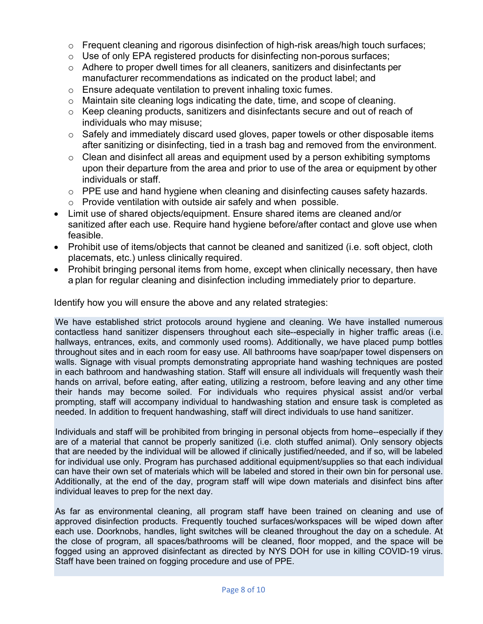- o Frequent cleaning and rigorous disinfection of high-risk areas/high touch surfaces;
- o Use of only EPA registered products for disinfecting non-porous surfaces;
- o Adhere to proper dwell times for all cleaners, sanitizers and disinfectants per manufacturer recommendations as indicated on the product label; and
- o Ensure adequate ventilation to prevent inhaling toxic fumes.
- o Maintain site cleaning logs indicating the date, time, and scope of cleaning.
- o Keep cleaning products, sanitizers and disinfectants secure and out of reach of individuals who may misuse;
- $\circ$  Safely and immediately discard used gloves, paper towels or other disposable items after sanitizing or disinfecting, tied in a trash bag and removed from the environment.
- o Clean and disinfect all areas and equipment used by a person exhibiting symptoms upon their departure from the area and prior to use of the area or equipment by other individuals or staff.
- o PPE use and hand hygiene when cleaning and disinfecting causes safety hazards.
- $\circ$  Provide ventilation with outside air safely and when possible.
- Limit use of shared objects/equipment. Ensure shared items are cleaned and/or sanitized after each use. Require hand hygiene before/after contact and glove use when feasible.
- Prohibit use of items/objects that cannot be cleaned and sanitized (i.e. soft object, cloth placemats, etc.) unless clinically required.
- Prohibit bringing personal items from home, except when clinically necessary, then have a plan for regular cleaning and disinfection including immediately prior to departure.

Identify how you will ensure the above and any related strategies:

We have established strict protocols around hygiene and cleaning. We have installed numerous contactless hand sanitizer dispensers throughout each site--especially in higher traffic areas (i.e. hallways, entrances, exits, and commonly used rooms). Additionally, we have placed pump bottles throughout sites and in each room for easy use. All bathrooms have soap/paper towel dispensers on walls. Signage with visual prompts demonstrating appropriate hand washing techniques are posted in each bathroom and handwashing station. Staff will ensure all individuals will frequently wash their hands on arrival, before eating, after eating, utilizing a restroom, before leaving and any other time their hands may become soiled. For individuals who requires physical assist and/or verbal prompting, staff will accompany individual to handwashing station and ensure task is completed as needed. In addition to frequent handwashing, staff will direct individuals to use hand sanitizer.

Individuals and staff will be prohibited from bringing in personal objects from home--especially if they are of a material that cannot be properly sanitized (i.e. cloth stuffed animal). Only sensory objects that are needed by the individual will be allowed if clinically justified/needed, and if so, will be labeled for individual use only. Program has purchased additional equipment/supplies so that each individual can have their own set of materials which will be labeled and stored in their own bin for personal use. Additionally, at the end of the day, program staff will wipe down materials and disinfect bins after individual leaves to prep for the next day.

As far as environmental cleaning, all program staff have been trained on cleaning and use of approved disinfection products. Frequently touched surfaces/workspaces will be wiped down after each use. Doorknobs, handles, light switches will be cleaned throughout the day on a schedule. At the close of program, all spaces/bathrooms will be cleaned, floor mopped, and the space will be fogged using an approved disinfectant as directed by NYS DOH for use in killing COVID-19 virus. Staff have been trained on fogging procedure and use of PPE.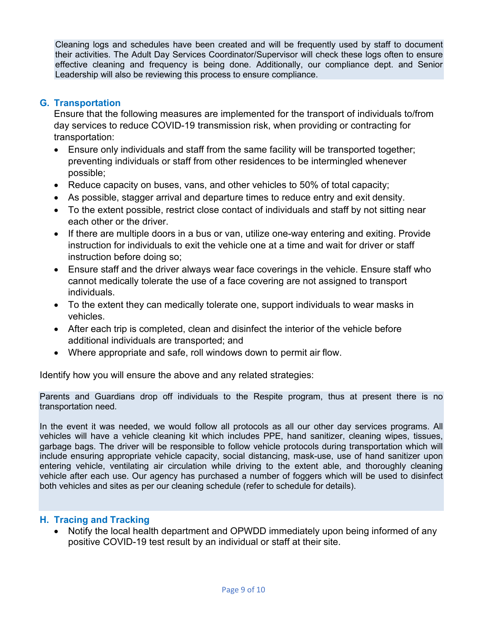Cleaning logs and schedules have been created and will be frequently used by staff to document their activities. The Adult Day Services Coordinator/Supervisor will check these logs often to ensure effective cleaning and frequency is being done. Additionally, our compliance dept. and Senior Leadership will also be reviewing this process to ensure compliance.

#### **G. Transportation**

Ensure that the following measures are implemented for the transport of individuals to/from day services to reduce COVID-19 transmission risk, when providing or contracting for transportation:

- Ensure only individuals and staff from the same facility will be transported together; preventing individuals or staff from other residences to be intermingled whenever possible;
- Reduce capacity on buses, vans, and other vehicles to 50% of total capacity;
- As possible, stagger arrival and departure times to reduce entry and exit density.
- To the extent possible, restrict close contact of individuals and staff by not sitting near each other or the driver.
- If there are multiple doors in a bus or van, utilize one-way entering and exiting. Provide instruction for individuals to exit the vehicle one at a time and wait for driver or staff instruction before doing so;
- Ensure staff and the driver always wear face coverings in the vehicle. Ensure staff who cannot medically tolerate the use of a face covering are not assigned to transport individuals.
- To the extent they can medically tolerate one, support individuals to wear masks in vehicles.
- After each trip is completed, clean and disinfect the interior of the vehicle before additional individuals are transported; and
- Where appropriate and safe, roll windows down to permit air flow.

Identify how you will ensure the above and any related strategies:

Parents and Guardians drop off individuals to the Respite program, thus at present there is no transportation need.

In the event it was needed, we would follow all protocols as all our other day services programs. All vehicles will have a vehicle cleaning kit which includes PPE, hand sanitizer, cleaning wipes, tissues, garbage bags. The driver will be responsible to follow vehicle protocols during transportation which will include ensuring appropriate vehicle capacity, social distancing, mask-use, use of hand sanitizer upon entering vehicle, ventilating air circulation while driving to the extent able, and thoroughly cleaning vehicle after each use. Our agency has purchased a number of foggers which will be used to disinfect both vehicles and sites as per our cleaning schedule (refer to schedule for details).

#### **H. Tracing and Tracking**

• Notify the local health department and OPWDD immediately upon being informed of any positive COVID-19 test result by an individual or staff at their site.